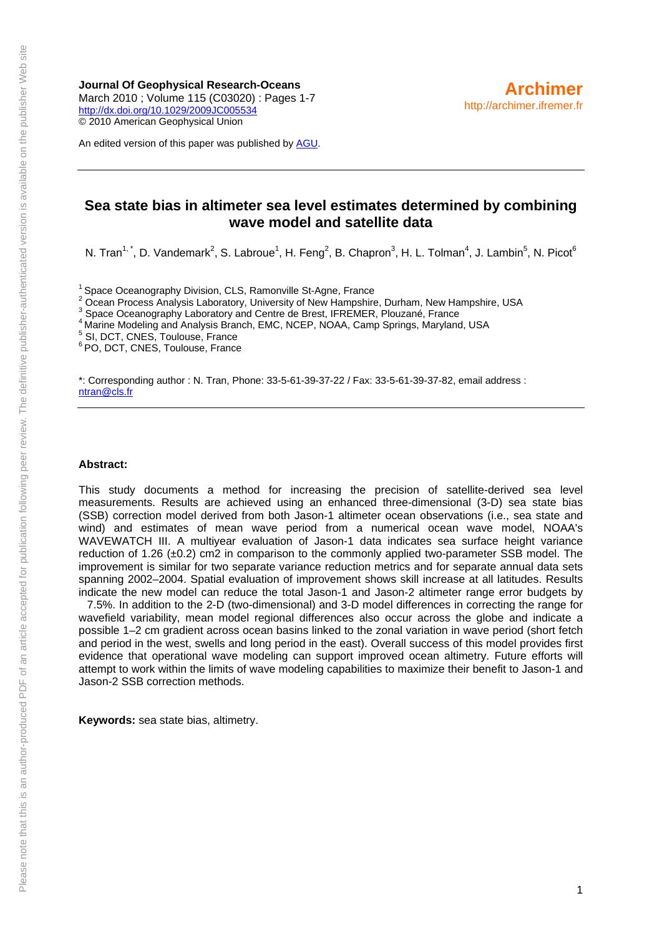**Journal Of Geophysical Research-Oceans**  March 2010 ; Volume 115 (C03020) : Pages 1-7 <http://dx.doi.org/10.1029/2009JC005534> © 2010 American Geophysical Union

An edited version of this paper was published by [AGU.](http://www.agu.org/)

### **Sea state bias in altimeter sea level estimates determined by combining wave model and satellite data**

N. Tran<sup>1,\*</sup>, D. Vandemark<sup>2</sup>, S. Labroue<sup>1</sup>, H. Feng<sup>2</sup>, B. Chapron<sup>3</sup>, H. L. Tolman<sup>4</sup>, J. Lambin<sup>5</sup>, N. Picot<sup>6</sup>

<sup>1</sup> Space Oceanography Division, CLS, Ramonville St-Agne, France

2 Ocean Process Analysis Laboratory, University of New Hampshire, Durham, New Hampshire, USA<br>Space Oceanography Laboratory and Centre de Brest, IFREMER, Plouzané, France

Marine Modeling and Analysis Branch, EMC, NCEP, NOAA, Camp Springs, Maryland, USA

5 SI, DCT, CNES, Toulouse, France

6 PO, DCT, CNES, Toulouse, France

\*: Corresponding author : N. Tran, Phone: 33-5-61-39-37-22 / Fax: 33-5-61-39-37-82, email address : [ntran@cls.fr](mailto:ntran@cls.fr)

#### **Abstract:**

This study documents a method for increasing the precision of satellite-derived sea level measurements. Results are achieved using an enhanced three-dimensional (3-D) sea state bias (SSB) correction model derived from both Jason-1 altimeter ocean observations (i.e., sea state and wind) and estimates of mean wave period from a numerical ocean wave model, NOAA's WAVEWATCH III. A multiyear evaluation of Jason-1 data indicates sea surface height variance reduction of 1.26 ( $\pm$ 0.2) cm2 in comparison to the commonly applied two-parameter SSB model. The improvement is similar for two separate variance reduction metrics and for separate annual data sets spanning 2002–2004. Spatial evaluation of improvement shows skill increase at all latitudes. Results indicate the new model can reduce the total Jason-1 and Jason-2 altimeter range error budgets by

7.5%. In addition to the 2-D (two-dimensional) and 3-D model differences in correcting the range for wavefield variability, mean model regional differences also occur across the globe and indicate a possible 1–2 cm gradient across ocean basins linked to the zonal variation in wave period (short fetch and period in the west, swells and long period in the east). Overall success of this model provides first evidence that operational wave modeling can support improved ocean altimetry. Future efforts will attempt to work within the limits of wave modeling capabilities to maximize their benefit to Jason-1 and Jason-2 SSB correction methods.

**Keywords:** sea state bias, altimetry.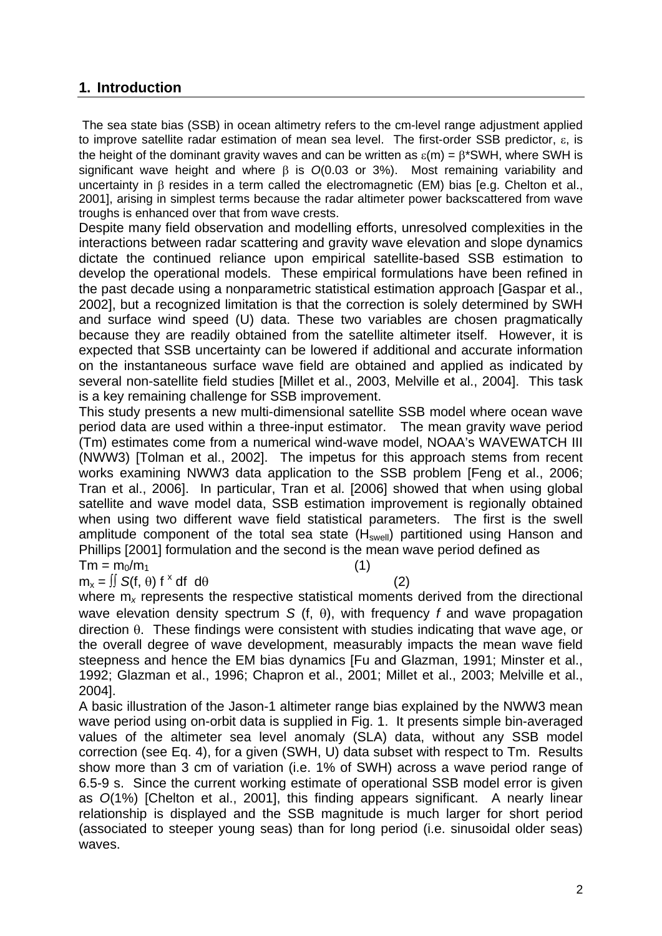# **1. Introduction**

 The sea state bias (SSB) in ocean altimetry refers to the cm-level range adjustment applied to improve satellite radar estimation of mean sea level. The first-order SSB predictor,  $\varepsilon$ , is the height of the dominant gravity waves and can be written as  $\varepsilon(m) = \beta^*SWH$ , where SWH is significant wave height and where  $\beta$  is  $O(0.03$  or 3%). Most remaining variability and uncertainty in  $\beta$  resides in a term called the electromagnetic (EM) bias [e.g. Chelton et al., 2001], arising in simplest terms because the radar altimeter power backscattered from wave troughs is enhanced over that from wave crests.

Despite many field observation and modelling efforts, unresolved complexities in the interactions between radar scattering and gravity wave elevation and slope dynamics dictate the continued reliance upon empirical satellite-based SSB estimation to develop the operational models. These empirical formulations have been refined in the past decade using a nonparametric statistical estimation approach [Gaspar et al., 2002], but a recognized limitation is that the correction is solely determined by SWH and surface wind speed (U) data. These two variables are chosen pragmatically because they are readily obtained from the satellite altimeter itself. However, it is expected that SSB uncertainty can be lowered if additional and accurate information on the instantaneous surface wave field are obtained and applied as indicated by several non-satellite field studies [Millet et al., 2003, Melville et al., 2004]. This task is a key remaining challenge for SSB improvement.

This study presents a new multi-dimensional satellite SSB model where ocean wave period data are used within a three-input estimator. The mean gravity wave period (Tm) estimates come from a numerical wind-wave model, NOAA's WAVEWATCH III (NWW3) [Tolman et al., 2002]. The impetus for this approach stems from recent works examining NWW3 data application to the SSB problem [Feng et al., 2006; Tran et al., 2006]. In particular, Tran et al. [2006] showed that when using global satellite and wave model data, SSB estimation improvement is regionally obtained when using two different wave field statistical parameters. The first is the swell amplitude component of the total sea state  $(H<sub>swell</sub>)$  partitioned using Hanson and Phillips [2001] formulation and the second is the mean wave period defined as  $Tm = m_0/m_1$  (1)

 $m_x = \iint S(f, \theta) f^x df d\theta$  (2)

where m<sub>x</sub> represents the respective statistical moments derived from the directional wave elevation density spectrum *S* (f,  $\theta$ ), with frequency *f* and wave propagation  $d$ irection  $\theta$ . These findings were consistent with studies indicating that wave age, or the overall degree of wave development, measurably impacts the mean wave field steepness and hence the EM bias dynamics [Fu and Glazman, 1991; Minster et al., 1992; Glazman et al., 1996; Chapron et al., 2001; Millet et al., 2003; Melville et al., 2004].

A basic illustration of the Jason-1 altimeter range bias explained by the NWW3 mean wave period using on-orbit data is supplied in Fig. 1. It presents simple bin-averaged values of the altimeter sea level anomaly (SLA) data, without any SSB model correction (see Eq. 4), for a given (SWH, U) data subset with respect to Tm. Results show more than 3 cm of variation (i.e. 1% of SWH) across a wave period range of 6.5-9 s. Since the current working estimate of operational SSB model error is given as *O*(1%) [Chelton et al., 2001], this finding appears significant. A nearly linear relationship is displayed and the SSB magnitude is much larger for short period (associated to steeper young seas) than for long period (i.e. sinusoidal older seas) waves.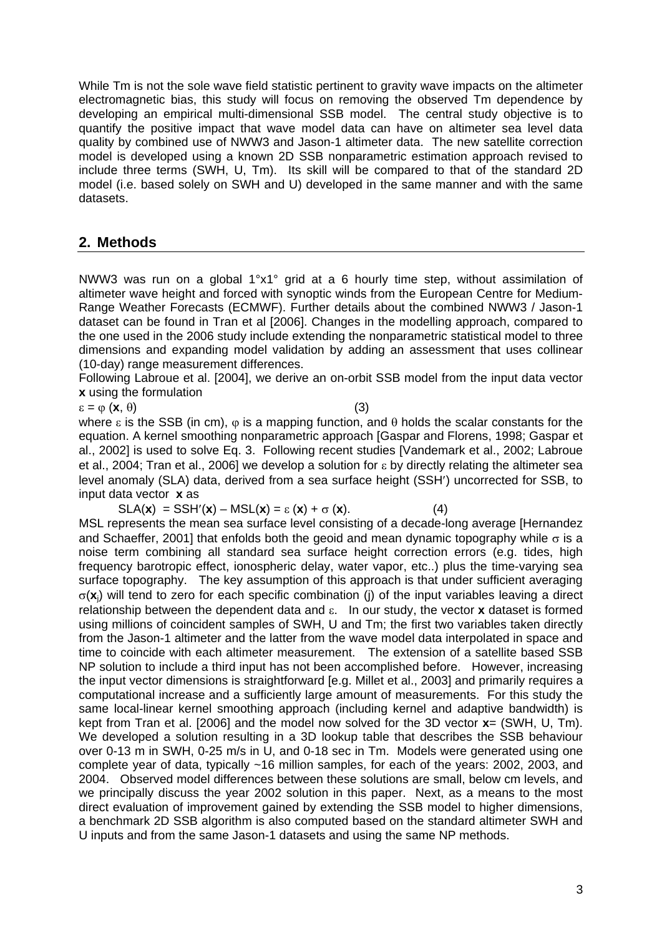While Tm is not the sole wave field statistic pertinent to gravity wave impacts on the altimeter electromagnetic bias, this study will focus on removing the observed Tm dependence by developing an empirical multi-dimensional SSB model. The central study objective is to quantify the positive impact that wave model data can have on altimeter sea level data quality by combined use of NWW3 and Jason-1 altimeter data. The new satellite correction model is developed using a known 2D SSB nonparametric estimation approach revised to include three terms (SWH, U, Tm). Its skill will be compared to that of the standard 2D model (i.e. based solely on SWH and U) developed in the same manner and with the same datasets.

# **2. Methods**

NWW3 was run on a global 1°x1° grid at a 6 hourly time step, without assimilation of altimeter wave height and forced with synoptic winds from the European Centre for Medium-Range Weather Forecasts (ECMWF). Further details about the combined NWW3 / Jason-1 dataset can be found in Tran et al [2006]. Changes in the modelling approach, compared to the one used in the 2006 study include extending the nonparametric statistical model to three dimensions and expanding model validation by adding an assessment that uses collinear (10-day) range measurement differences.

Following Labroue et al. [2004], we derive an on-orbit SSB model from the input data vector **x** using the formulation

 $\varepsilon = \varphi(\mathbf{x}, \theta)$  (3)

where  $\epsilon$  is the SSB (in cm),  $\omega$  is a mapping function, and  $\theta$  holds the scalar constants for the equation. A kernel smoothing nonparametric approach [Gaspar and Florens, 1998; Gaspar et al., 2002] is used to solve Eq. 3. Following recent studies [Vandemark et al., 2002; Labroue et al., 2004; Tran et al., 2006] we develop a solution for  $\varepsilon$  by directly relating the altimeter sea level anomaly (SLA) data, derived from a sea surface height (SSH') uncorrected for SSB, to input data vector **x** as

 $SLA(x) = SSH'(x) - MSL(x) = \varepsilon(x) + \sigma(x).$  (4)

MSL represents the mean sea surface level consisting of a decade-long average [Hernandez and Schaeffer, 2001] that enfolds both the geoid and mean dynamic topography while  $\sigma$  is a noise term combining all standard sea surface height correction errors (e.g. tides, high frequency barotropic effect, ionospheric delay, water vapor, etc..) plus the time-varying sea surface topography. The key assumption of this approach is that under sufficient averaging  $\sigma(\mathbf{x})$  will tend to zero for each specific combination (i) of the input variables leaving a direct relationship between the dependent data and  $\varepsilon$ . In our study, the vector **x** dataset is formed using millions of coincident samples of SWH, U and Tm; the first two variables taken directly from the Jason-1 altimeter and the latter from the wave model data interpolated in space and time to coincide with each altimeter measurement. The extension of a satellite based SSB NP solution to include a third input has not been accomplished before. However, increasing the input vector dimensions is straightforward [e.g. Millet et al., 2003] and primarily requires a computational increase and a sufficiently large amount of measurements. For this study the same local-linear kernel smoothing approach (including kernel and adaptive bandwidth) is kept from Tran et al. [2006] and the model now solved for the 3D vector **x**= (SWH, U, Tm). We developed a solution resulting in a 3D lookup table that describes the SSB behaviour over 0-13 m in SWH, 0-25 m/s in U, and 0-18 sec in Tm. Models were generated using one complete year of data, typically ~16 million samples, for each of the years: 2002, 2003, and 2004. Observed model differences between these solutions are small, below cm levels, and we principally discuss the year 2002 solution in this paper. Next, as a means to the most direct evaluation of improvement gained by extending the SSB model to higher dimensions, a benchmark 2D SSB algorithm is also computed based on the standard altimeter SWH and U inputs and from the same Jason-1 datasets and using the same NP methods.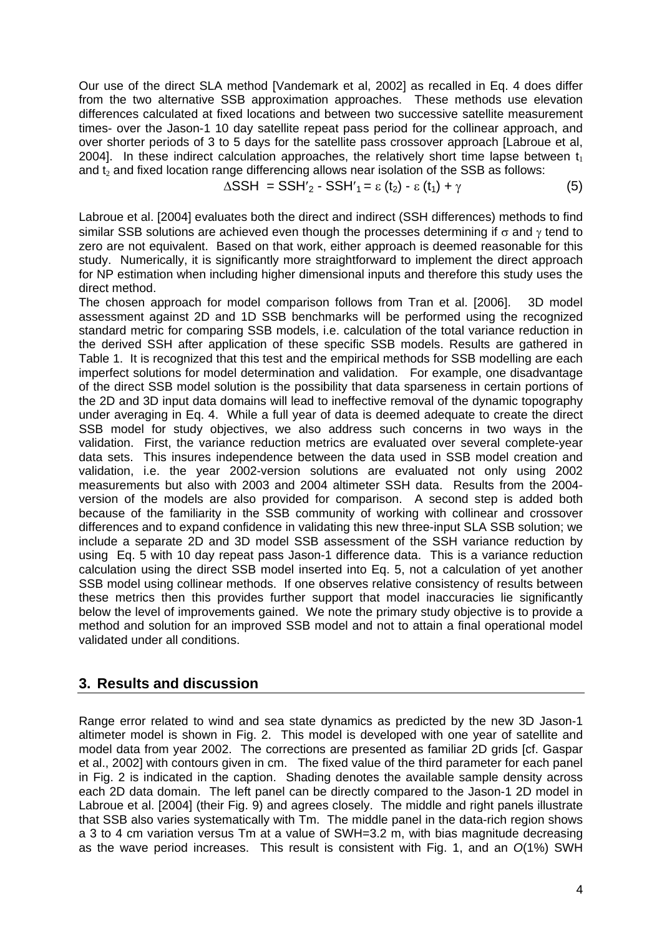Our use of the direct SLA method [Vandemark et al, 2002] as recalled in Eq. 4 does differ from the two alternative SSB approximation approaches. These methods use elevation differences calculated at fixed locations and between two successive satellite measurement times- over the Jason-1 10 day satellite repeat pass period for the collinear approach, and over shorter periods of 3 to 5 days for the satellite pass crossover approach [Labroue et al, 2004]. In these indirect calculation approaches, the relatively short time lapse between  $t_1$ and  $t_2$  and fixed location range differencing allows near isolation of the SSB as follows:

$$
\Delta \text{SSH} = \text{SSH}'_2 - \text{SSH}'_1 = \varepsilon (t_2) - \varepsilon (t_1) + \gamma \tag{5}
$$

Labroue et al. [2004] evaluates both the direct and indirect (SSH differences) methods to find similar SSB solutions are achieved even though the processes determining if  $\sigma$  and  $\gamma$  tend to zero are not equivalent. Based on that work, either approach is deemed reasonable for this study. Numerically, it is significantly more straightforward to implement the direct approach for NP estimation when including higher dimensional inputs and therefore this study uses the direct method.

The chosen approach for model comparison follows from Tran et al. [2006]. 3D model assessment against 2D and 1D SSB benchmarks will be performed using the recognized standard metric for comparing SSB models, i.e. calculation of the total variance reduction in the derived SSH after application of these specific SSB models. Results are gathered in Table 1. It is recognized that this test and the empirical methods for SSB modelling are each imperfect solutions for model determination and validation. For example, one disadvantage of the direct SSB model solution is the possibility that data sparseness in certain portions of the 2D and 3D input data domains will lead to ineffective removal of the dynamic topography under averaging in Eq. 4. While a full year of data is deemed adequate to create the direct SSB model for study objectives, we also address such concerns in two ways in the validation. First, the variance reduction metrics are evaluated over several complete-year data sets. This insures independence between the data used in SSB model creation and validation, i.e. the year 2002-version solutions are evaluated not only using 2002 measurements but also with 2003 and 2004 altimeter SSH data. Results from the 2004 version of the models are also provided for comparison. A second step is added both because of the familiarity in the SSB community of working with collinear and crossover differences and to expand confidence in validating this new three-input SLA SSB solution; we include a separate 2D and 3D model SSB assessment of the SSH variance reduction by using Eq. 5 with 10 day repeat pass Jason-1 difference data. This is a variance reduction calculation using the direct SSB model inserted into Eq. 5, not a calculation of yet another SSB model using collinear methods. If one observes relative consistency of results between these metrics then this provides further support that model inaccuracies lie significantly below the level of improvements gained. We note the primary study objective is to provide a method and solution for an improved SSB model and not to attain a final operational model validated under all conditions.

# **3. Results and discussion**

Range error related to wind and sea state dynamics as predicted by the new 3D Jason-1 altimeter model is shown in Fig. 2. This model is developed with one year of satellite and model data from year 2002. The corrections are presented as familiar 2D grids [cf. Gaspar et al., 2002] with contours given in cm. The fixed value of the third parameter for each panel in Fig. 2 is indicated in the caption. Shading denotes the available sample density across each 2D data domain. The left panel can be directly compared to the Jason-1 2D model in Labroue et al. [2004] (their Fig. 9) and agrees closely. The middle and right panels illustrate that SSB also varies systematically with Tm. The middle panel in the data-rich region shows a 3 to 4 cm variation versus Tm at a value of SWH=3.2 m, with bias magnitude decreasing as the wave period increases. This result is consistent with Fig. 1, and an *O*(1%) SWH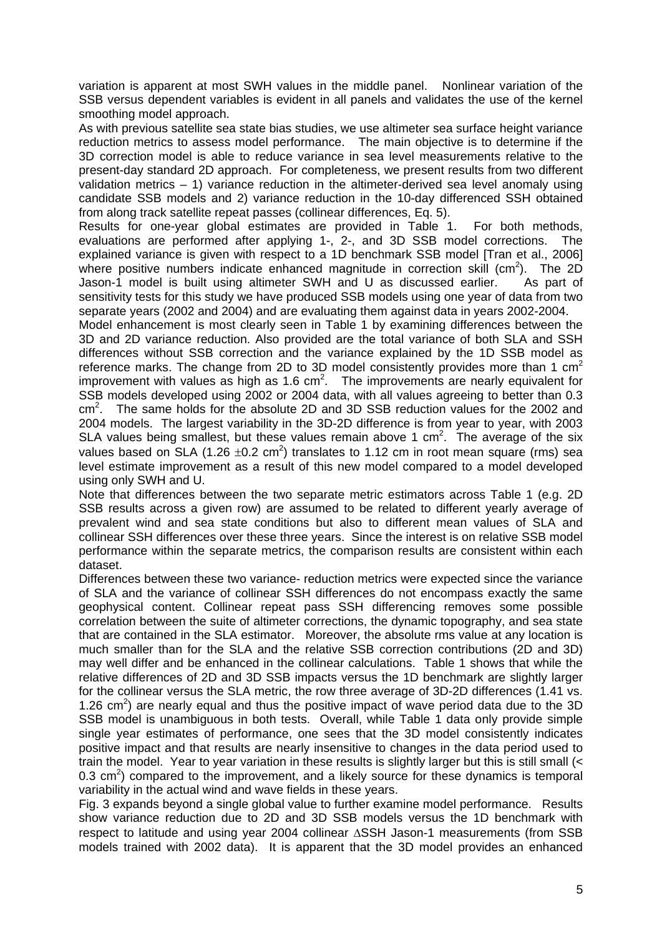variation is apparent at most SWH values in the middle panel. Nonlinear variation of the SSB versus dependent variables is evident in all panels and validates the use of the kernel smoothing model approach.

As with previous satellite sea state bias studies, we use altimeter sea surface height variance reduction metrics to assess model performance. The main objective is to determine if the 3D correction model is able to reduce variance in sea level measurements relative to the present-day standard 2D approach. For completeness, we present results from two different validation metrics – 1) variance reduction in the altimeter-derived sea level anomaly using candidate SSB models and 2) variance reduction in the 10-day differenced SSH obtained from along track satellite repeat passes (collinear differences, Eq. 5).

Results for one-year global estimates are provided in Table 1. For both methods, evaluations are performed after applying 1-, 2-, and 3D SSB model corrections. The explained variance is given with respect to a 1D benchmark SSB model [Tran et al., 2006] where positive numbers indicate enhanced magnitude in correction skill ( $cm<sup>2</sup>$ ). The 2D Jason-1 model is built using altimeter SWH and U as discussed earlier. As part of sensitivity tests for this study we have produced SSB models using one year of data from two separate years (2002 and 2004) and are evaluating them against data in years 2002-2004.

Model enhancement is most clearly seen in Table 1 by examining differences between the 3D and 2D variance reduction. Also provided are the total variance of both SLA and SSH differences without SSB correction and the variance explained by the 1D SSB model as reference marks. The change from 2D to 3D model consistently provides more than 1  $\text{cm}^2$ improvement with values as high as  $1.6 \text{ cm}^2$ . The improvements are nearly equivalent for SSB models developed using 2002 or 2004 data, with all values agreeing to better than 0.3  $\text{cm}^2$ . . The same holds for the absolute 2D and 3D SSB reduction values for the 2002 and 2004 models. The largest variability in the 3D-2D difference is from year to year, with 2003 SLA values being smallest, but these values remain above 1  $cm<sup>2</sup>$ . The average of the six values based on SLA (1.26  $\pm$ 0.2 cm<sup>2</sup>) translates to 1.12 cm in root mean square (rms) sea level estimate improvement as a result of this new model compared to a model developed using only SWH and U.

Note that differences between the two separate metric estimators across Table 1 (e.g. 2D SSB results across a given row) are assumed to be related to different yearly average of prevalent wind and sea state conditions but also to different mean values of SLA and collinear SSH differences over these three years. Since the interest is on relative SSB model performance within the separate metrics, the comparison results are consistent within each dataset.

Differences between these two variance- reduction metrics were expected since the variance of SLA and the variance of collinear SSH differences do not encompass exactly the same geophysical content. Collinear repeat pass SSH differencing removes some possible correlation between the suite of altimeter corrections, the dynamic topography, and sea state that are contained in the SLA estimator. Moreover, the absolute rms value at any location is much smaller than for the SLA and the relative SSB correction contributions (2D and 3D) may well differ and be enhanced in the collinear calculations. Table 1 shows that while the relative differences of 2D and 3D SSB impacts versus the 1D benchmark are slightly larger for the collinear versus the SLA metric, the row three average of 3D-2D differences (1.41 vs. 1.26  $\text{cm}^2$ ) are nearly equal and thus the positive impact of wave period data due to the 3D SSB model is unambiguous in both tests. Overall, while Table 1 data only provide simple single year estimates of performance, one sees that the 3D model consistently indicates positive impact and that results are nearly insensitive to changes in the data period used to train the model. Year to year variation in these results is slightly larger but this is still small (< 0.3  $\text{cm}^2$ ) compared to the improvement, and a likely source for these dynamics is temporal variability in the actual wind and wave fields in these years.

Fig. 3 expands beyond a single global value to further examine model performance. Results show variance reduction due to 2D and 3D SSB models versus the 1D benchmark with respect to latitude and using year 2004 collinear  $\triangle$ SSH Jason-1 measurements (from SSB models trained with 2002 data). It is apparent that the 3D model provides an enhanced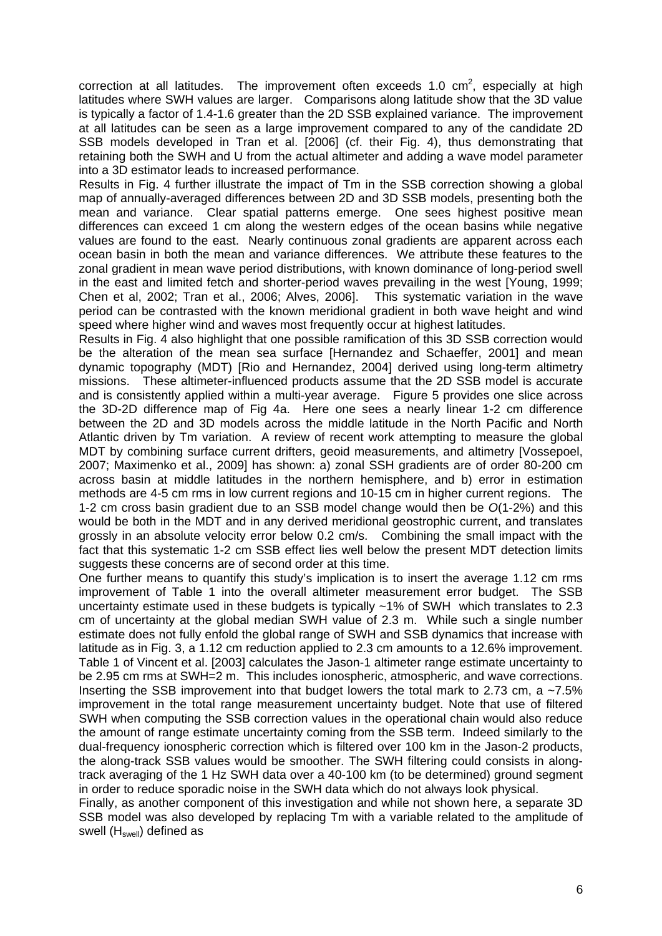correction at all latitudes. The improvement often exceeds 1.0  $\text{cm}^2$ , especially at high latitudes where SWH values are larger. Comparisons along latitude show that the 3D value is typically a factor of 1.4-1.6 greater than the 2D SSB explained variance. The improvement at all latitudes can be seen as a large improvement compared to any of the candidate 2D SSB models developed in Tran et al. [2006] (cf. their Fig. 4), thus demonstrating that retaining both the SWH and U from the actual altimeter and adding a wave model parameter into a 3D estimator leads to increased performance.

Results in Fig. 4 further illustrate the impact of Tm in the SSB correction showing a global map of annually-averaged differences between 2D and 3D SSB models, presenting both the mean and variance. Clear spatial patterns emerge. One sees highest positive mean differences can exceed 1 cm along the western edges of the ocean basins while negative values are found to the east. Nearly continuous zonal gradients are apparent across each ocean basin in both the mean and variance differences. We attribute these features to the zonal gradient in mean wave period distributions, with known dominance of long-period swell in the east and limited fetch and shorter-period waves prevailing in the west [Young, 1999; Chen et al, 2002; Tran et al., 2006; Alves, 2006]. This systematic variation in the wave period can be contrasted with the known meridional gradient in both wave height and wind speed where higher wind and waves most frequently occur at highest latitudes.

Results in Fig. 4 also highlight that one possible ramification of this 3D SSB correction would be the alteration of the mean sea surface [Hernandez and Schaeffer, 2001] and mean dynamic topography (MDT) [Rio and Hernandez, 2004] derived using long-term altimetry missions. These altimeter-influenced products assume that the 2D SSB model is accurate and is consistently applied within a multi-year average. Figure 5 provides one slice across the 3D-2D difference map of Fig 4a. Here one sees a nearly linear 1-2 cm difference between the 2D and 3D models across the middle latitude in the North Pacific and North Atlantic driven by Tm variation. A review of recent work attempting to measure the global MDT by combining surface current drifters, geoid measurements, and altimetry [Vossepoel, 2007; Maximenko et al., 2009] has shown: a) zonal SSH gradients are of order 80-200 cm across basin at middle latitudes in the northern hemisphere, and b) error in estimation methods are 4-5 cm rms in low current regions and 10-15 cm in higher current regions. The 1-2 cm cross basin gradient due to an SSB model change would then be *O*(1-2%) and this would be both in the MDT and in any derived meridional geostrophic current, and translates grossly in an absolute velocity error below 0.2 cm/s. Combining the small impact with the fact that this systematic 1-2 cm SSB effect lies well below the present MDT detection limits suggests these concerns are of second order at this time.

One further means to quantify this study's implication is to insert the average 1.12 cm rms improvement of Table 1 into the overall altimeter measurement error budget. The SSB uncertainty estimate used in these budgets is typically ~1% of SWH which translates to 2.3 cm of uncertainty at the global median SWH value of 2.3 m. While such a single number estimate does not fully enfold the global range of SWH and SSB dynamics that increase with latitude as in Fig. 3, a 1.12 cm reduction applied to 2.3 cm amounts to a 12.6% improvement. Table 1 of Vincent et al. [2003] calculates the Jason-1 altimeter range estimate uncertainty to be 2.95 cm rms at SWH=2 m. This includes ionospheric, atmospheric, and wave corrections. Inserting the SSB improvement into that budget lowers the total mark to 2.73 cm, a ~7.5% improvement in the total range measurement uncertainty budget. Note that use of filtered SWH when computing the SSB correction values in the operational chain would also reduce the amount of range estimate uncertainty coming from the SSB term. Indeed similarly to the dual-frequency ionospheric correction which is filtered over 100 km in the Jason-2 products, the along-track SSB values would be smoother. The SWH filtering could consists in alongtrack averaging of the 1 Hz SWH data over a 40-100 km (to be determined) ground segment in order to reduce sporadic noise in the SWH data which do not always look physical.

Finally, as another component of this investigation and while not shown here, a separate 3D SSB model was also developed by replacing Tm with a variable related to the amplitude of swell  $(H<sub>swell</sub>)$  defined as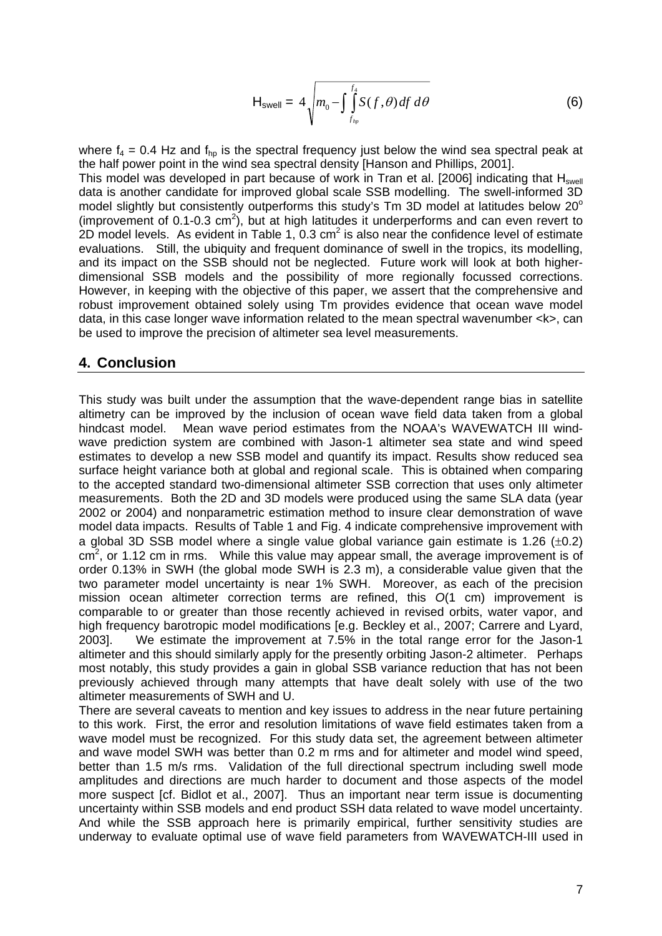$$
H_{\text{swell}} = 4 \sqrt{m_0 - \int_{f_{hp}}^{f_4} S(f, \theta) \, df \, d\theta} \tag{6}
$$

where  $f_4 = 0.4$  Hz and  $f_{ho}$  is the spectral frequency just below the wind sea spectral peak at the half power point in the wind sea spectral density [Hanson and Phillips, 2001].

This model was developed in part because of work in Tran et al. [2006] indicating that  $H<sub>swell</sub>$ data is another candidate for improved global scale SSB modelling. The swell-informed 3D model slightly but consistently outperforms this study's  $Tm$  3D model at latitudes below 20 $^{\circ}$ (improvement of  $0.1$ -0.3 cm<sup>2</sup>), but at high latitudes it underperforms and can even revert to 2D model levels. As evident in Table 1, 0.3  $\text{cm}^2$  is also near the confidence level of estimate evaluations. Still, the ubiquity and frequent dominance of swell in the tropics, its modelling, and its impact on the SSB should not be neglected. Future work will look at both higherdimensional SSB models and the possibility of more regionally focussed corrections. However, in keeping with the objective of this paper, we assert that the comprehensive and robust improvement obtained solely using Tm provides evidence that ocean wave model data, in this case longer wave information related to the mean spectral wavenumber <k>, can be used to improve the precision of altimeter sea level measurements.

#### **4. Conclusion**

This study was built under the assumption that the wave-dependent range bias in satellite altimetry can be improved by the inclusion of ocean wave field data taken from a global hindcast model. Mean wave period estimates from the NOAA's WAVEWATCH III windwave prediction system are combined with Jason-1 altimeter sea state and wind speed estimates to develop a new SSB model and quantify its impact. Results show reduced sea surface height variance both at global and regional scale. This is obtained when comparing to the accepted standard two-dimensional altimeter SSB correction that uses only altimeter measurements. Both the 2D and 3D models were produced using the same SLA data (year 2002 or 2004) and nonparametric estimation method to insure clear demonstration of wave model data impacts. Results of Table 1 and Fig. 4 indicate comprehensive improvement with a global 3D SSB model where a single value global variance gain estimate is 1.26  $(\pm 0.2)$  $\text{cm}^2$ , or 1.12 cm in rms. While this value may appear small, the average improvement is of order 0.13% in SWH (the global mode SWH is 2.3 m), a considerable value given that the two parameter model uncertainty is near 1% SWH. Moreover, as each of the precision mission ocean altimeter correction terms are refined, this *O*(1 cm) improvement is comparable to or greater than those recently achieved in revised orbits, water vapor, and high frequency barotropic model modifications [e.g. Beckley et al., 2007; Carrere and Lyard, 2003]. We estimate the improvement at 7.5% in the total range error for the Jason-1 altimeter and this should similarly apply for the presently orbiting Jason-2 altimeter. Perhaps most notably, this study provides a gain in global SSB variance reduction that has not been previously achieved through many attempts that have dealt solely with use of the two altimeter measurements of SWH and U.

There are several caveats to mention and key issues to address in the near future pertaining to this work. First, the error and resolution limitations of wave field estimates taken from a wave model must be recognized. For this study data set, the agreement between altimeter and wave model SWH was better than 0.2 m rms and for altimeter and model wind speed, better than 1.5 m/s rms. Validation of the full directional spectrum including swell mode amplitudes and directions are much harder to document and those aspects of the model more suspect [cf. Bidlot et al., 2007]. Thus an important near term issue is documenting uncertainty within SSB models and end product SSH data related to wave model uncertainty. And while the SSB approach here is primarily empirical, further sensitivity studies are underway to evaluate optimal use of wave field parameters from WAVEWATCH-III used in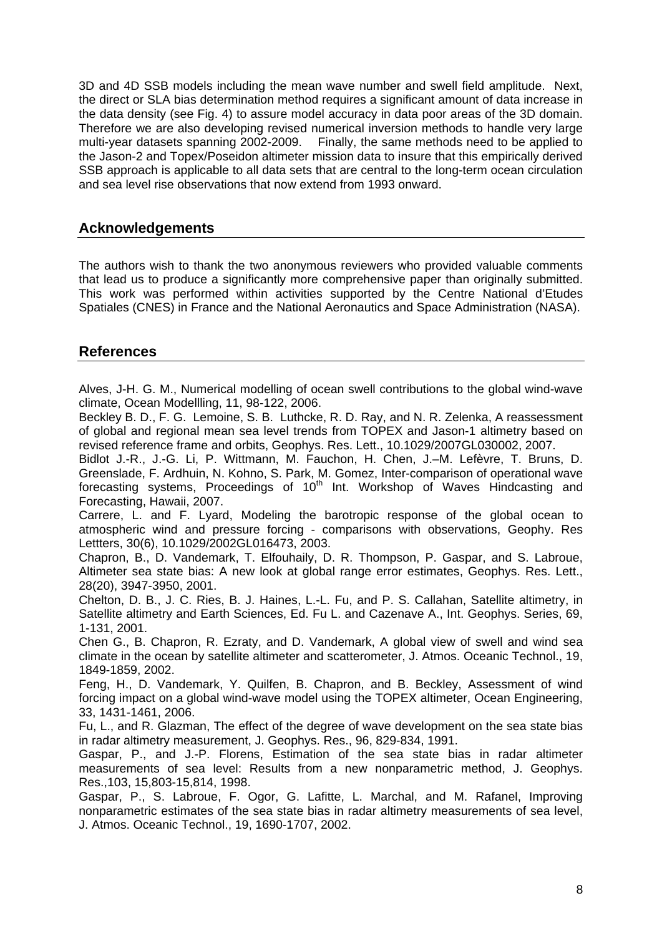3D and 4D SSB models including the mean wave number and swell field amplitude. Next, the direct or SLA bias determination method requires a significant amount of data increase in the data density (see Fig. 4) to assure model accuracy in data poor areas of the 3D domain. Therefore we are also developing revised numerical inversion methods to handle very large multi-year datasets spanning 2002-2009. Finally, the same methods need to be applied to the Jason-2 and Topex/Poseidon altimeter mission data to insure that this empirically derived SSB approach is applicable to all data sets that are central to the long-term ocean circulation and sea level rise observations that now extend from 1993 onward.

# **Acknowledgements**

The authors wish to thank the two anonymous reviewers who provided valuable comments that lead us to produce a significantly more comprehensive paper than originally submitted. This work was performed within activities supported by the Centre National d'Etudes Spatiales (CNES) in France and the National Aeronautics and Space Administration (NASA).

# **References**

Alves, J-H. G. M., Numerical modelling of ocean swell contributions to the global wind-wave climate, Ocean Modellling, 11, 98-122, 2006.

Beckley B. D., F. G. Lemoine, S. B. Luthcke, R. D. Ray, and N. R. Zelenka, A reassessment of global and regional mean sea level trends from TOPEX and Jason-1 altimetry based on revised reference frame and orbits, Geophys. Res. Lett., 10.1029/2007GL030002, 2007.

Bidlot J.-R., J.-G. Li, P. Wittmann, M. Fauchon, H. Chen, J.–M. Lefèvre, T. Bruns, D. Greenslade, F. Ardhuin, N. Kohno, S. Park, M. Gomez, Inter-comparison of operational wave forecasting systems, Proceedings of  $10<sup>th</sup>$  Int. Workshop of Waves Hindcasting and Forecasting, Hawaii, 2007.

Carrere, L. and F. Lyard, Modeling the barotropic response of the global ocean to atmospheric wind and pressure forcing - comparisons with observations, Geophy. Res Lettters, 30(6), 10.1029/2002GL016473, 2003.

Chapron, B., D. Vandemark, T. Elfouhaily, D. R. Thompson, P. Gaspar, and S. Labroue, Altimeter sea state bias: A new look at global range error estimates, Geophys. Res. Lett., 28(20), 3947-3950, 2001.

Chelton, D. B., J. C. Ries, B. J. Haines, L.-L. Fu, and P. S. Callahan, Satellite altimetry, in Satellite altimetry and Earth Sciences, Ed. Fu L. and Cazenave A., Int. Geophys. Series, 69, 1-131, 2001.

Chen G., B. Chapron, R. Ezraty, and D. Vandemark, A global view of swell and wind sea climate in the ocean by satellite altimeter and scatterometer, J. Atmos. Oceanic Technol., 19, 1849-1859, 2002.

Feng, H., D. Vandemark, Y. Quilfen, B. Chapron, and B. Beckley, Assessment of wind forcing impact on a global wind-wave model using the TOPEX altimeter, Ocean Engineering, 33, 1431-1461, 2006.

Fu, L., and R. Glazman, The effect of the degree of wave development on the sea state bias in radar altimetry measurement, J. Geophys. Res., 96, 829-834, 1991.

Gaspar, P., and J.-P. Florens, Estimation of the sea state bias in radar altimeter measurements of sea level: Results from a new nonparametric method, J. Geophys. Res.,103, 15,803-15,814, 1998.

Gaspar, P., S. Labroue, F. Ogor, G. Lafitte, L. Marchal, and M. Rafanel, Improving nonparametric estimates of the sea state bias in radar altimetry measurements of sea level, J. Atmos. Oceanic Technol., 19, 1690-1707, 2002.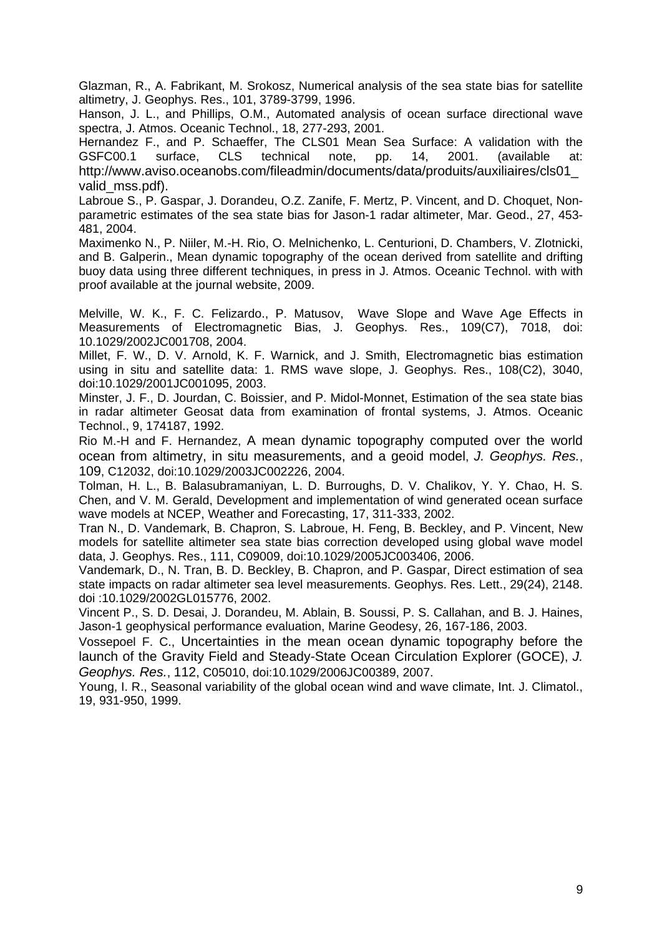Glazman, R., A. Fabrikant, M. Srokosz, Numerical analysis of the sea state bias for satellite altimetry, J. Geophys. Res., 101, 3789-3799, 1996.

Hanson, J. L., and Phillips, O.M., Automated analysis of ocean surface directional wave spectra, J. Atmos. Oceanic Technol., 18, 277-293, 2001.

Hernandez F., and P. Schaeffer, The CLS01 Mean Sea Surface: A validation with the GSFC00.1 surface, CLS technical note, pp. 14, 2001. (available at: http://www.aviso.oceanobs.com/fileadmin/documents/data/produits/auxiliaires/cls01\_ valid\_mss.pdf).

Labroue S., P. Gaspar, J. Dorandeu, O.Z. Zanife, F. Mertz, P. Vincent, and D. Choquet, Nonparametric estimates of the sea state bias for Jason-1 radar altimeter, Mar. Geod., 27, 453- 481, 2004.

Maximenko N., P. Niiler, M.-H. Rio, O. Melnichenko, L. Centurioni, D. Chambers, V. Zlotnicki, and B. Galperin., Mean dynamic topography of the ocean derived from satellite and drifting buoy data using three different techniques, in press in J. Atmos. Oceanic Technol. with with proof available at the journal website, 2009.

Melville, W. K., F. C. Felizardo., P. Matusov, Wave Slope and Wave Age Effects in Measurements of Electromagnetic Bias, J. Geophys. Res., 109(C7), 7018, doi: 10.1029/2002JC001708, 2004.

Millet, F. W., D. V. Arnold, K. F. Warnick, and J. Smith, Electromagnetic bias estimation using in situ and satellite data: 1. RMS wave slope, J. Geophys. Res., 108(C2), 3040, doi:10.1029/2001JC001095, 2003.

Minster, J. F., D. Jourdan, C. Boissier, and P. Midol-Monnet, Estimation of the sea state bias in radar altimeter Geosat data from examination of frontal systems, J. Atmos. Oceanic Technol., 9, 174187, 1992.

Rio M.-H and F. Hernandez, A mean dynamic topography computed over the world ocean from altimetry, in situ measurements, and a geoid model, *J. Geophys. Res.*, 109, C12032, doi:10.1029/2003JC002226, 2004.

Tolman, H. L., B. Balasubramaniyan, L. D. Burroughs, D. V. Chalikov, Y. Y. Chao, H. S. Chen, and V. M. Gerald, Development and implementation of wind generated ocean surface wave models at NCEP, Weather and Forecasting, 17, 311-333, 2002.

Tran N., D. Vandemark, B. Chapron, S. Labroue, H. Feng, B. Beckley, and P. Vincent, New models for satellite altimeter sea state bias correction developed using global wave model data, J. Geophys. Res., 111, C09009, doi:10.1029/2005JC003406, 2006.

Vandemark, D., N. Tran, B. D. Beckley, B. Chapron, and P. Gaspar, Direct estimation of sea state impacts on radar altimeter sea level measurements. Geophys. Res. Lett., 29(24), 2148. doi :10.1029/2002GL015776, 2002.

Vincent P., S. D. Desai, J. Dorandeu, M. Ablain, B. Soussi, P. S. Callahan, and B. J. Haines, Jason-1 geophysical performance evaluation, Marine Geodesy, 26, 167-186, 2003.

Vossepoel F. C., Uncertainties in the mean ocean dynamic topography before the launch of the Gravity Field and Steady-State Ocean Circulation Explorer (GOCE), *J. Geophys. Res.*, 112, C05010, doi:10.1029/2006JC00389, 2007.

Young, I. R., Seasonal variability of the global ocean wind and wave climate, Int. J. Climatol., 19, 931-950, 1999.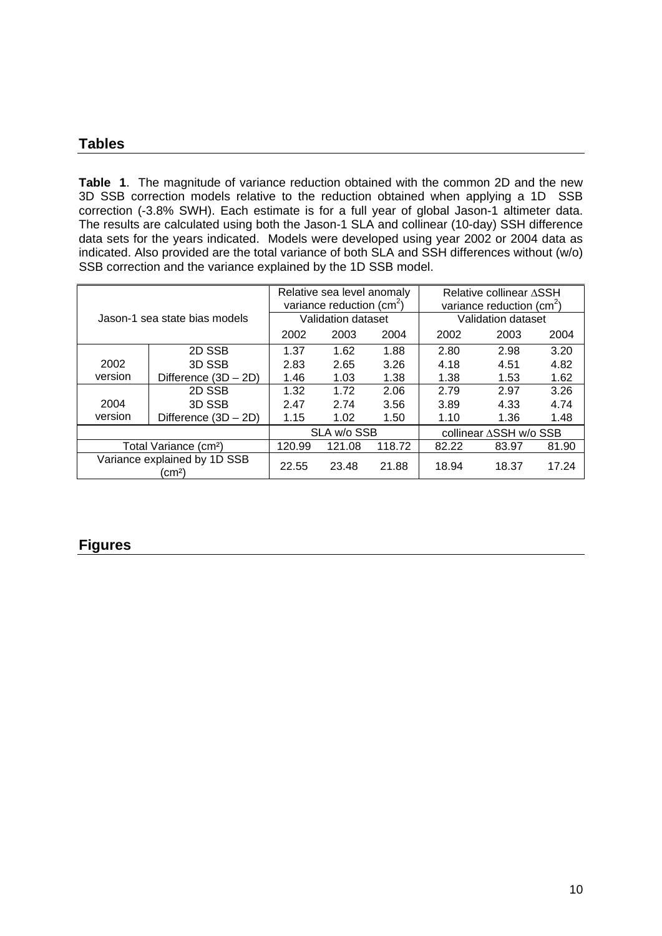# **Tables**

**Table 1**. The magnitude of variance reduction obtained with the common 2D and the new 3D SSB correction models relative to the reduction obtained when applying a 1D SSB correction (-3.8% SWH). Each estimate is for a full year of global Jason-1 altimeter data. The results are calculated using both the Jason-1 SLA and collinear (10-day) SSH difference data sets for the years indicated. Models were developed using year 2002 or 2004 data as indicated. Also provided are the total variance of both SLA and SSH differences without (w/o) SSB correction and the variance explained by the 1D SSB model.

| Jason-1 sea state bias models        |                        | Relative sea level anomaly<br>variance reduction $(cm2)$ |        |        | Relative collinear ASSH<br>variance reduction $(cm2)$ |       |       |
|--------------------------------------|------------------------|----------------------------------------------------------|--------|--------|-------------------------------------------------------|-------|-------|
|                                      |                        | Validation dataset                                       |        |        | Validation dataset                                    |       |       |
|                                      |                        | 2002                                                     | 2003   | 2004   | 2002                                                  | 2003  | 2004  |
|                                      | 2D SSB                 | 1.37                                                     | 1.62   | 1.88   | 2.80                                                  | 2.98  | 3.20  |
| 2002                                 | 3D SSB                 | 2.83                                                     | 2.65   | 3.26   | 4.18                                                  | 4.51  | 4.82  |
| version                              | Difference $(3D - 2D)$ | 1.46                                                     | 1.03   | 1.38   | 1.38                                                  | 1.53  | 1.62  |
|                                      | 2D SSB                 | 1.32                                                     | 1.72   | 2.06   | 2.79                                                  | 2.97  | 3.26  |
| 2004                                 | 3D SSB                 | 2.47                                                     | 2.74   | 3.56   | 3.89                                                  | 4.33  | 4.74  |
| version                              | Difference $(3D - 2D)$ | 1.15                                                     | 1.02   | 1.50   | 1.10                                                  | 1.36  | 1.48  |
|                                      |                        | SLA w/o SSB                                              |        |        | collinear ∆SSH w/o SSB                                |       |       |
| Total Variance (cm <sup>2</sup> )    |                        | 120.99                                                   | 121.08 | 118.72 | 82.22                                                 | 83.97 | 81.90 |
| Variance explained by 1D SSB<br>(cm² |                        | 22.55                                                    | 23.48  | 21.88  | 18.94                                                 | 18.37 | 17.24 |

# **Figures**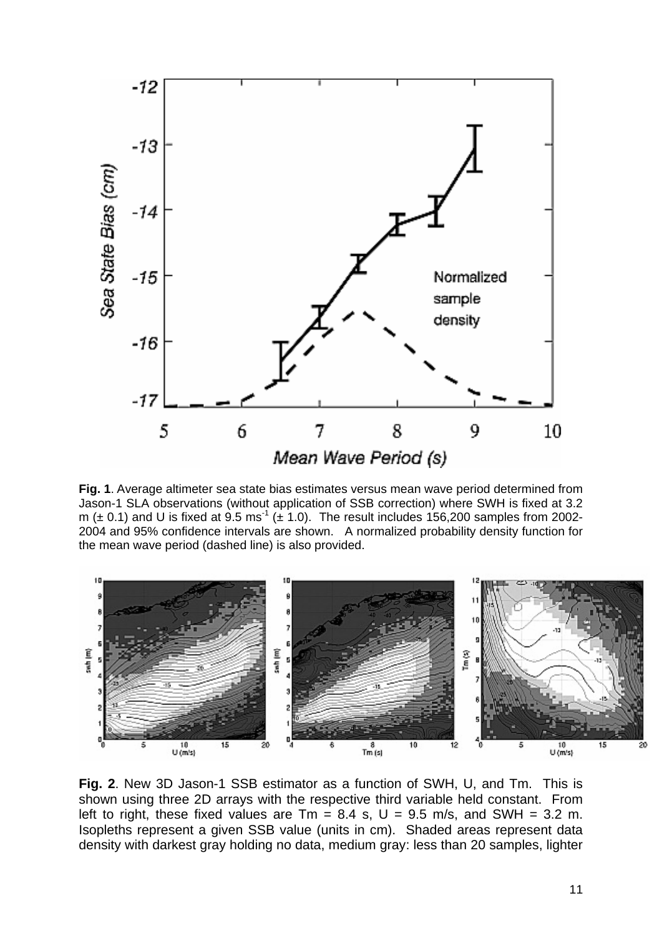

**Fig. 1**. Average altimeter sea state bias estimates versus mean wave period determined from Jason-1 SLA observations (without application of SSB correction) where SWH is fixed at 3.2 m ( $\pm$  0.1) and U is fixed at 9.5 ms<sup>-1</sup> ( $\pm$  1.0). The result includes 156,200 samples from 2002-2004 and 95% confidence intervals are shown. A normalized probability density function for the mean wave period (dashed line) is also provided.



**Fig. 2**. New 3D Jason-1 SSB estimator as a function of SWH, U, and Tm. This is shown using three 2D arrays with the respective third variable held constant. From left to right, these fixed values are  $Tm = 8.4$  s,  $U = 9.5$  m/s, and SWH = 3.2 m. Isopleths represent a given SSB value (units in cm). Shaded areas represent data density with darkest gray holding no data, medium gray: less than 20 samples, lighter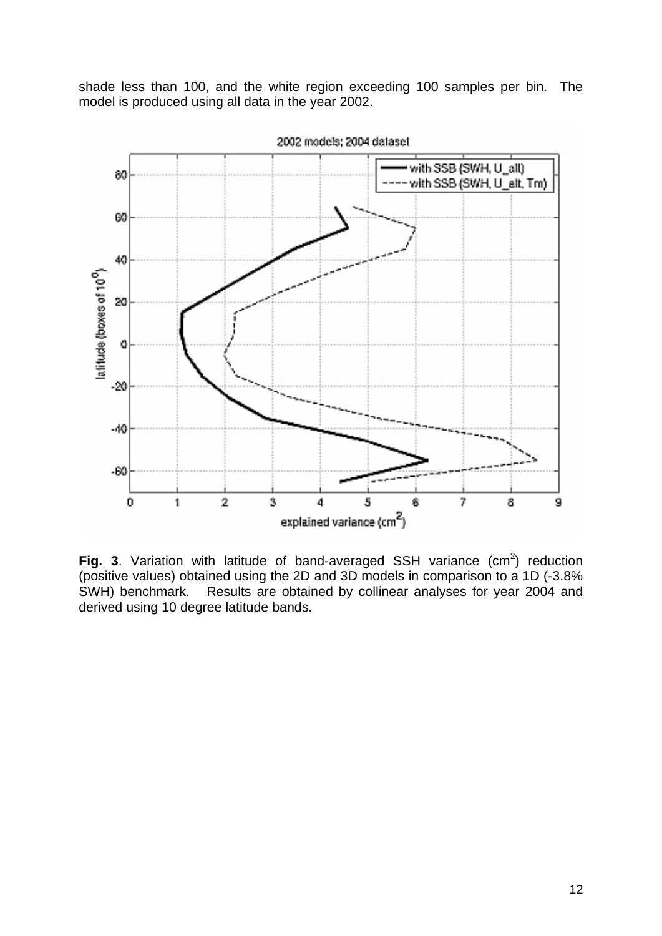shade less than 100, and the white region exceeding 100 samples per bin. The model is produced using all data in the year 2002.



**Fig. 3.** Variation with latitude of band-averaged SSH variance  $(cm<sup>2</sup>)$  reduction (positive values) obtained using the 2D and 3D models in comparison to a 1D (-3.8% SWH) benchmark. Results are obtained by collinear analyses for year 2004 and derived using 10 degree latitude bands.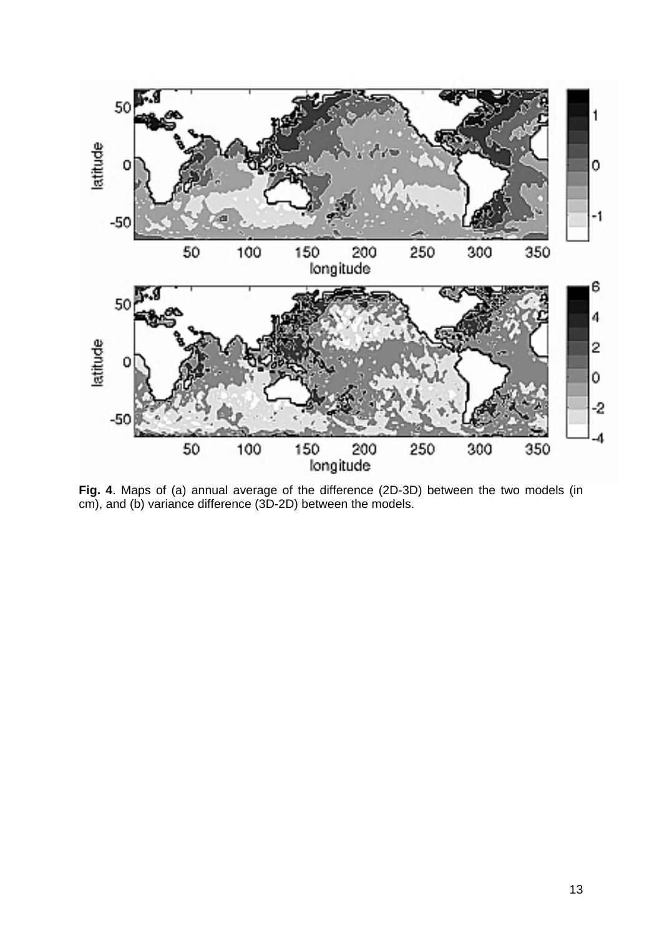

**Fig. 4**. Maps of (a) annual average of the difference (2D-3D) between the two models (in cm), and (b) variance difference (3D-2D) between the models.